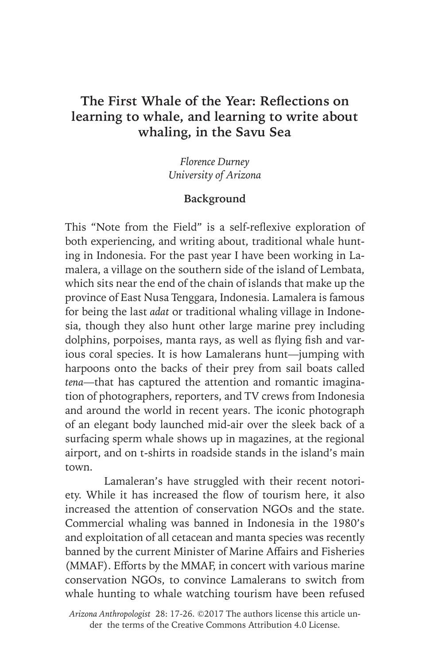## **The First Whale of the Year: Reflections on learning to whale, and learning to write about whaling, in the Savu Sea**

*Florence Durney University of Arizona*

## **Background**

This "Note from the Field" is a self-reflexive exploration of both experiencing, and writing about, traditional whale hunting in Indonesia. For the past year I have been working in Lamalera, a village on the southern side of the island of Lembata, which sits near the end of the chain of islands that make up the province of East Nusa Tenggara, Indonesia. Lamalera is famous for being the last *adat* or traditional whaling village in Indonesia, though they also hunt other large marine prey including dolphins, porpoises, manta rays, as well as flying fish and various coral species. It is how Lamalerans hunt—jumping with harpoons onto the backs of their prey from sail boats called *tena*—that has captured the attention and romantic imagination of photographers, reporters, and TV crews from Indonesia and around the world in recent years. The iconic photograph of an elegant body launched mid-air over the sleek back of a surfacing sperm whale shows up in magazines, at the regional airport, and on t-shirts in roadside stands in the island's main town.

Lamaleran's have struggled with their recent notoriety. While it has increased the flow of tourism here, it also increased the attention of conservation NGOs and the state. Commercial whaling was banned in Indonesia in the 1980's and exploitation of all cetacean and manta species was recently banned by the current Minister of Marine Affairs and Fisheries (MMAF). Efforts by the MMAF, in concert with various marine conservation NGOs, to convince Lamalerans to switch from whale hunting to whale watching tourism have been refused

*Arizona Anthropologist* 28: 17-26. ©2017 The authors license this article under the terms of the Creative Commons Attribution 4.0 License.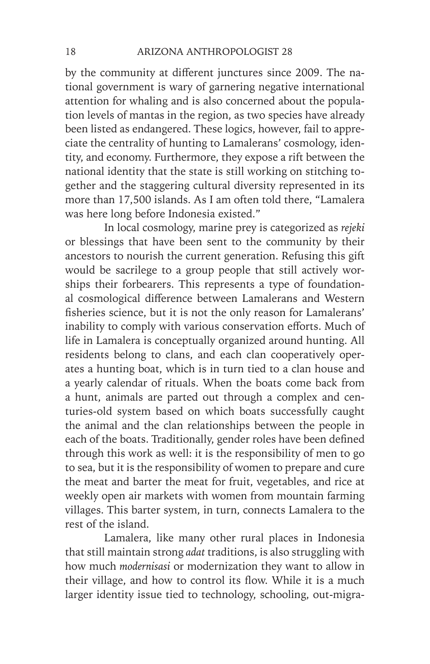by the community at different junctures since 2009. The national government is wary of garnering negative international attention for whaling and is also concerned about the population levels of mantas in the region, as two species have already been listed as endangered. These logics, however, fail to appreciate the centrality of hunting to Lamalerans' cosmology, identity, and economy. Furthermore, they expose a rift between the national identity that the state is still working on stitching together and the staggering cultural diversity represented in its more than 17,500 islands. As I am often told there, "Lamalera was here long before Indonesia existed."

In local cosmology, marine prey is categorized as *rejeki* or blessings that have been sent to the community by their ancestors to nourish the current generation. Refusing this gift would be sacrilege to a group people that still actively worships their forbearers. This represents a type of foundational cosmological difference between Lamalerans and Western fisheries science, but it is not the only reason for Lamalerans' inability to comply with various conservation efforts. Much of life in Lamalera is conceptually organized around hunting. All residents belong to clans, and each clan cooperatively operates a hunting boat, which is in turn tied to a clan house and a yearly calendar of rituals. When the boats come back from a hunt, animals are parted out through a complex and centuries-old system based on which boats successfully caught the animal and the clan relationships between the people in each of the boats. Traditionally, gender roles have been defined through this work as well: it is the responsibility of men to go to sea, but it is the responsibility of women to prepare and cure the meat and barter the meat for fruit, vegetables, and rice at weekly open air markets with women from mountain farming villages. This barter system, in turn, connects Lamalera to the rest of the island.

Lamalera, like many other rural places in Indonesia that still maintain strong *adat* traditions, is also struggling with how much *modernisasi* or modernization they want to allow in their village, and how to control its flow. While it is a much larger identity issue tied to technology, schooling, out-migra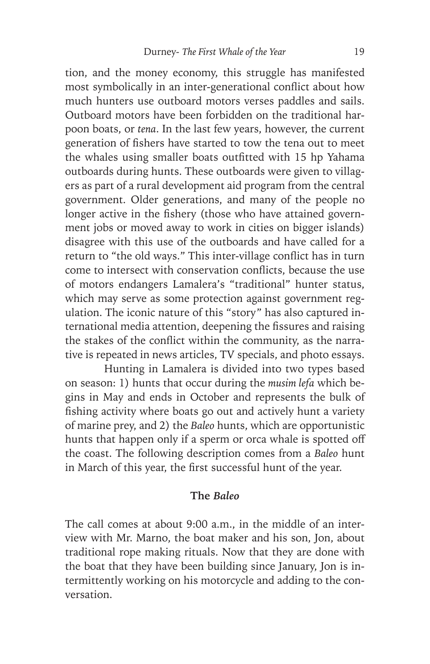tion, and the money economy, this struggle has manifested most symbolically in an inter-generational conflict about how much hunters use outboard motors verses paddles and sails. Outboard motors have been forbidden on the traditional harpoon boats, or *tena*. In the last few years, however, the current generation of fishers have started to tow the tena out to meet the whales using smaller boats outfitted with 15 hp Yahama outboards during hunts. These outboards were given to villagers as part of a rural development aid program from the central government. Older generations, and many of the people no longer active in the fishery (those who have attained government jobs or moved away to work in cities on bigger islands) disagree with this use of the outboards and have called for a return to "the old ways." This inter-village conflict has in turn come to intersect with conservation conflicts, because the use of motors endangers Lamalera's "traditional" hunter status, which may serve as some protection against government regulation. The iconic nature of this "story" has also captured international media attention, deepening the fissures and raising the stakes of the conflict within the community, as the narrative is repeated in news articles, TV specials, and photo essays.

Hunting in Lamalera is divided into two types based on season: 1) hunts that occur during the *musim lefa* which begins in May and ends in October and represents the bulk of fishing activity where boats go out and actively hunt a variety of marine prey, and 2) the *Baleo* hunts, which are opportunistic hunts that happen only if a sperm or orca whale is spotted off the coast. The following description comes from a *Baleo* hunt in March of this year, the first successful hunt of the year.

## **The** *Baleo*

The call comes at about 9:00 a.m., in the middle of an interview with Mr. Marno, the boat maker and his son, Jon, about traditional rope making rituals. Now that they are done with the boat that they have been building since January, Jon is intermittently working on his motorcycle and adding to the conversation.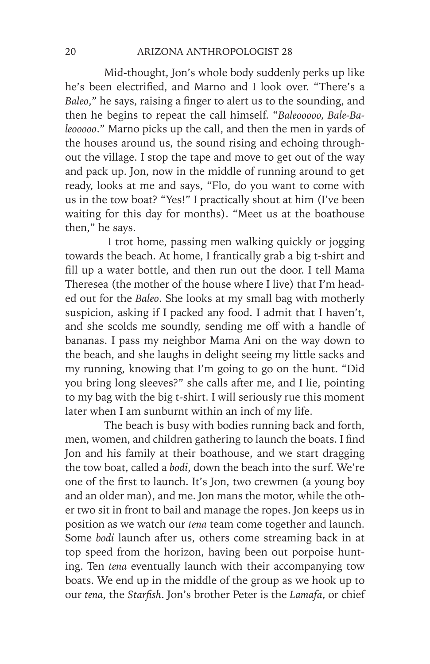Mid-thought, Jon's whole body suddenly perks up like he's been electrified, and Marno and I look over. "There's a *Baleo*," he says, raising a finger to alert us to the sounding, and then he begins to repeat the call himself. "*Baleooooo, Bale-Baleooooo*." Marno picks up the call, and then the men in yards of the houses around us, the sound rising and echoing throughout the village. I stop the tape and move to get out of the way and pack up. Jon, now in the middle of running around to get ready, looks at me and says, "Flo, do you want to come with us in the tow boat? "Yes!" I practically shout at him (I've been waiting for this day for months). "Meet us at the boathouse then," he says.

 I trot home, passing men walking quickly or jogging towards the beach. At home, I frantically grab a big t-shirt and fill up a water bottle, and then run out the door. I tell Mama Theresea (the mother of the house where I live) that I'm headed out for the *Baleo*. She looks at my small bag with motherly suspicion, asking if I packed any food. I admit that I haven't, and she scolds me soundly, sending me off with a handle of bananas. I pass my neighbor Mama Ani on the way down to the beach, and she laughs in delight seeing my little sacks and my running, knowing that I'm going to go on the hunt. "Did you bring long sleeves?" she calls after me, and I lie, pointing to my bag with the big t-shirt. I will seriously rue this moment later when I am sunburnt within an inch of my life.

The beach is busy with bodies running back and forth, men, women, and children gathering to launch the boats. I find Jon and his family at their boathouse, and we start dragging the tow boat, called a *bodi*, down the beach into the surf. We're one of the first to launch. It's Jon, two crewmen (a young boy and an older man), and me. Jon mans the motor, while the other two sit in front to bail and manage the ropes. Jon keeps us in position as we watch our *tena* team come together and launch. Some *bodi* launch after us, others come streaming back in at top speed from the horizon, having been out porpoise hunting. Ten *tena* eventually launch with their accompanying tow boats. We end up in the middle of the group as we hook up to our *tena*, the *Starfish*. Jon's brother Peter is the *Lamafa*, or chief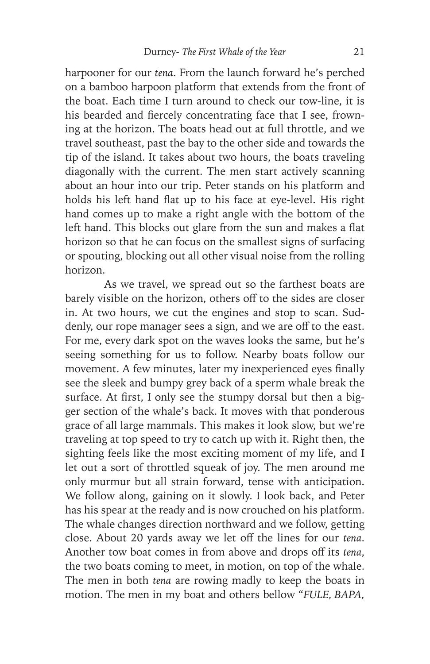harpooner for our *tena*. From the launch forward he's perched on a bamboo harpoon platform that extends from the front of the boat. Each time I turn around to check our tow-line, it is his bearded and fiercely concentrating face that I see, frowning at the horizon. The boats head out at full throttle, and we travel southeast, past the bay to the other side and towards the tip of the island. It takes about two hours, the boats traveling diagonally with the current. The men start actively scanning about an hour into our trip. Peter stands on his platform and holds his left hand flat up to his face at eye-level. His right hand comes up to make a right angle with the bottom of the left hand. This blocks out glare from the sun and makes a flat horizon so that he can focus on the smallest signs of surfacing or spouting, blocking out all other visual noise from the rolling horizon.

As we travel, we spread out so the farthest boats are barely visible on the horizon, others off to the sides are closer in. At two hours, we cut the engines and stop to scan. Suddenly, our rope manager sees a sign, and we are off to the east. For me, every dark spot on the waves looks the same, but he's seeing something for us to follow. Nearby boats follow our movement. A few minutes, later my inexperienced eyes finally see the sleek and bumpy grey back of a sperm whale break the surface. At first, I only see the stumpy dorsal but then a bigger section of the whale's back. It moves with that ponderous grace of all large mammals. This makes it look slow, but we're traveling at top speed to try to catch up with it. Right then, the sighting feels like the most exciting moment of my life, and I let out a sort of throttled squeak of joy. The men around me only murmur but all strain forward, tense with anticipation. We follow along, gaining on it slowly. I look back, and Peter has his spear at the ready and is now crouched on his platform. The whale changes direction northward and we follow, getting close. About 20 yards away we let off the lines for our *tena*. Another tow boat comes in from above and drops off its *tena*, the two boats coming to meet, in motion, on top of the whale. The men in both *tena* are rowing madly to keep the boats in motion. The men in my boat and others bellow "*FULE, BAPA,*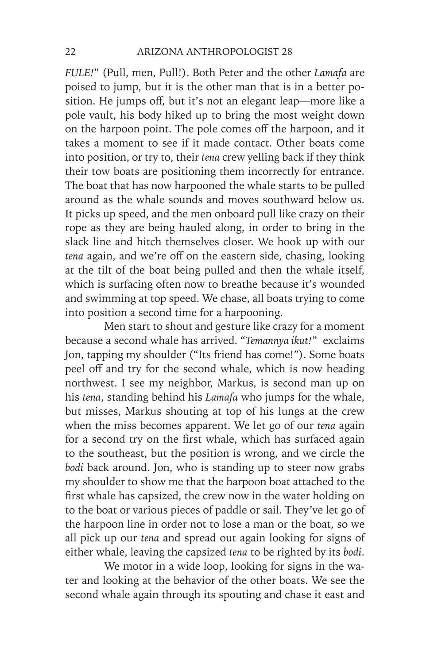*FULE!*" (Pull, men, Pull!). Both Peter and the other *Lamafa* are poised to jump, but it is the other man that is in a better position. He jumps off, but it's not an elegant leap—more like a pole vault, his body hiked up to bring the most weight down on the harpoon point. The pole comes off the harpoon, and it takes a moment to see if it made contact. Other boats come into position, or try to, their *tena* crew yelling back if they think their tow boats are positioning them incorrectly for entrance. The boat that has now harpooned the whale starts to be pulled around as the whale sounds and moves southward below us. It picks up speed, and the men onboard pull like crazy on their rope as they are being hauled along, in order to bring in the slack line and hitch themselves closer. We hook up with our *tena* again, and we're off on the eastern side, chasing, looking at the tilt of the boat being pulled and then the whale itself, which is surfacing often now to breathe because it's wounded and swimming at top speed. We chase, all boats trying to come into position a second time for a harpooning.

Men start to shout and gesture like crazy for a moment because a second whale has arrived. "*Temannya ikut!*" exclaims Jon, tapping my shoulder ("Its friend has come!"). Some boats peel off and try for the second whale, which is now heading northwest. I see my neighbor, Markus, is second man up on his *tena*, standing behind his *Lamafa* who jumps for the whale, but misses, Markus shouting at top of his lungs at the crew when the miss becomes apparent. We let go of our *tena* again for a second try on the first whale, which has surfaced again to the southeast, but the position is wrong, and we circle the *bodi* back around. Jon, who is standing up to steer now grabs my shoulder to show me that the harpoon boat attached to the first whale has capsized, the crew now in the water holding on to the boat or various pieces of paddle or sail. They've let go of the harpoon line in order not to lose a man or the boat, so we all pick up our *tena* and spread out again looking for signs of either whale, leaving the capsized *tena* to be righted by its *bodi*.

We motor in a wide loop, looking for signs in the water and looking at the behavior of the other boats. We see the second whale again through its spouting and chase it east and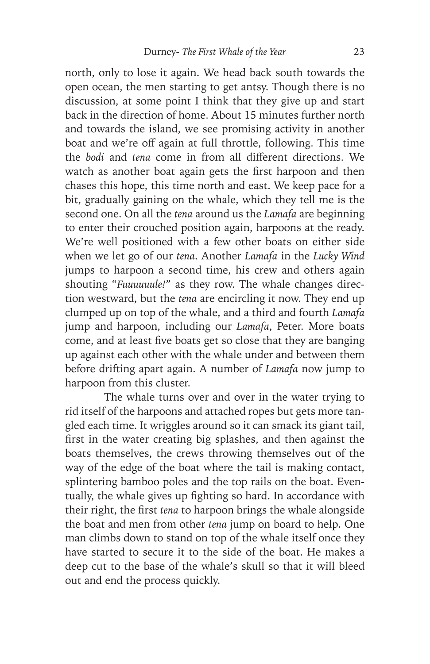north, only to lose it again. We head back south towards the open ocean, the men starting to get antsy. Though there is no discussion, at some point I think that they give up and start back in the direction of home. About 15 minutes further north and towards the island, we see promising activity in another boat and we're off again at full throttle, following. This time the *bodi* and *tena* come in from all different directions. We watch as another boat again gets the first harpoon and then chases this hope, this time north and east. We keep pace for a bit, gradually gaining on the whale, which they tell me is the second one. On all the *tena* around us the *Lamafa* are beginning to enter their crouched position again, harpoons at the ready. We're well positioned with a few other boats on either side when we let go of our *tena*. Another *Lamafa* in the *Lucky Wind*  jumps to harpoon a second time, his crew and others again shouting "*Fuuuuuule!*" as they row. The whale changes direction westward, but the *tena* are encircling it now. They end up clumped up on top of the whale, and a third and fourth *Lamafa* jump and harpoon, including our *Lamafa*, Peter. More boats come, and at least five boats get so close that they are banging up against each other with the whale under and between them before drifting apart again. A number of *Lamafa* now jump to harpoon from this cluster.

The whale turns over and over in the water trying to rid itself of the harpoons and attached ropes but gets more tangled each time. It wriggles around so it can smack its giant tail, first in the water creating big splashes, and then against the boats themselves, the crews throwing themselves out of the way of the edge of the boat where the tail is making contact, splintering bamboo poles and the top rails on the boat. Eventually, the whale gives up fighting so hard. In accordance with their right, the first *tena* to harpoon brings the whale alongside the boat and men from other *tena* jump on board to help. One man climbs down to stand on top of the whale itself once they have started to secure it to the side of the boat. He makes a deep cut to the base of the whale's skull so that it will bleed out and end the process quickly.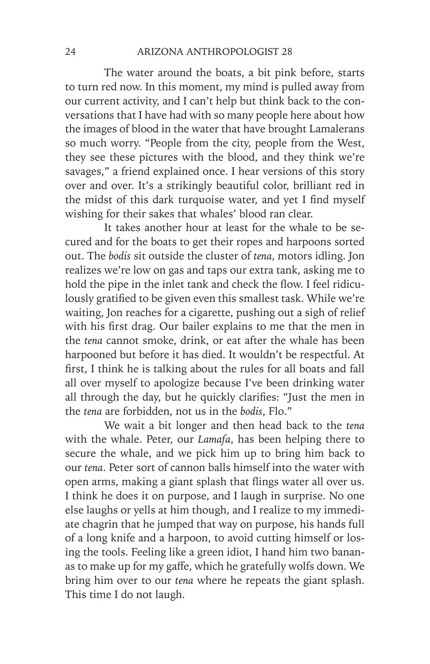The water around the boats, a bit pink before, starts to turn red now. In this moment, my mind is pulled away from our current activity, and I can't help but think back to the conversations that I have had with so many people here about how the images of blood in the water that have brought Lamalerans so much worry. "People from the city, people from the West, they see these pictures with the blood, and they think we're savages," a friend explained once. I hear versions of this story over and over. It's a strikingly beautiful color, brilliant red in the midst of this dark turquoise water, and yet I find myself wishing for their sakes that whales' blood ran clear.

It takes another hour at least for the whale to be secured and for the boats to get their ropes and harpoons sorted out. The *bodis* sit outside the cluster of *tena*, motors idling. Jon realizes we're low on gas and taps our extra tank, asking me to hold the pipe in the inlet tank and check the flow. I feel ridiculously gratified to be given even this smallest task. While we're waiting, Jon reaches for a cigarette, pushing out a sigh of relief with his first drag. Our bailer explains to me that the men in the *tena* cannot smoke, drink, or eat after the whale has been harpooned but before it has died. It wouldn't be respectful. At first, I think he is talking about the rules for all boats and fall all over myself to apologize because I've been drinking water all through the day, but he quickly clarifies: "Just the men in the *tena* are forbidden, not us in the *bodis*, Flo."

We wait a bit longer and then head back to the *tena* with the whale. Peter, our *Lamafa*, has been helping there to secure the whale, and we pick him up to bring him back to our *tena*. Peter sort of cannon balls himself into the water with open arms, making a giant splash that flings water all over us. I think he does it on purpose, and I laugh in surprise. No one else laughs or yells at him though, and I realize to my immediate chagrin that he jumped that way on purpose, his hands full of a long knife and a harpoon, to avoid cutting himself or losing the tools. Feeling like a green idiot, I hand him two bananas to make up for my gaffe, which he gratefully wolfs down. We bring him over to our *tena* where he repeats the giant splash. This time I do not laugh.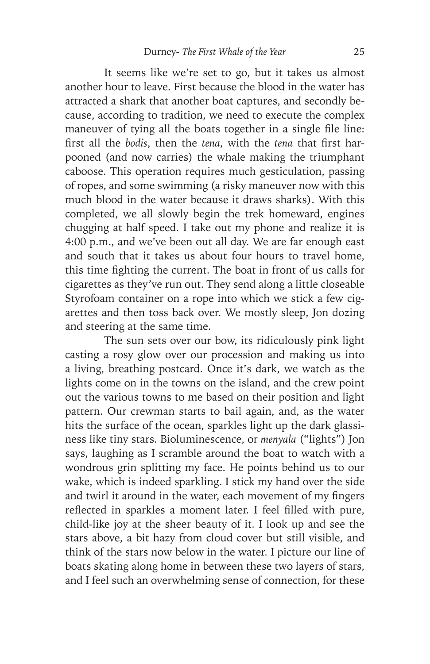It seems like we're set to go, but it takes us almost another hour to leave. First because the blood in the water has attracted a shark that another boat captures, and secondly because, according to tradition, we need to execute the complex maneuver of tying all the boats together in a single file line: first all the *bodis*, then the *tena*, with the *tena* that first harpooned (and now carries) the whale making the triumphant caboose. This operation requires much gesticulation, passing of ropes, and some swimming (a risky maneuver now with this much blood in the water because it draws sharks). With this completed, we all slowly begin the trek homeward, engines chugging at half speed. I take out my phone and realize it is 4:00 p.m., and we've been out all day. We are far enough east and south that it takes us about four hours to travel home, this time fighting the current. The boat in front of us calls for cigarettes as they've run out. They send along a little closeable Styrofoam container on a rope into which we stick a few cigarettes and then toss back over. We mostly sleep, Jon dozing and steering at the same time.

The sun sets over our bow, its ridiculously pink light casting a rosy glow over our procession and making us into a living, breathing postcard. Once it's dark, we watch as the lights come on in the towns on the island, and the crew point out the various towns to me based on their position and light pattern. Our crewman starts to bail again, and, as the water hits the surface of the ocean, sparkles light up the dark glassiness like tiny stars. Bioluminescence, or *menyala* ("lights") Jon says, laughing as I scramble around the boat to watch with a wondrous grin splitting my face. He points behind us to our wake, which is indeed sparkling. I stick my hand over the side and twirl it around in the water, each movement of my fingers reflected in sparkles a moment later. I feel filled with pure, child-like joy at the sheer beauty of it. I look up and see the stars above, a bit hazy from cloud cover but still visible, and think of the stars now below in the water. I picture our line of boats skating along home in between these two layers of stars, and I feel such an overwhelming sense of connection, for these